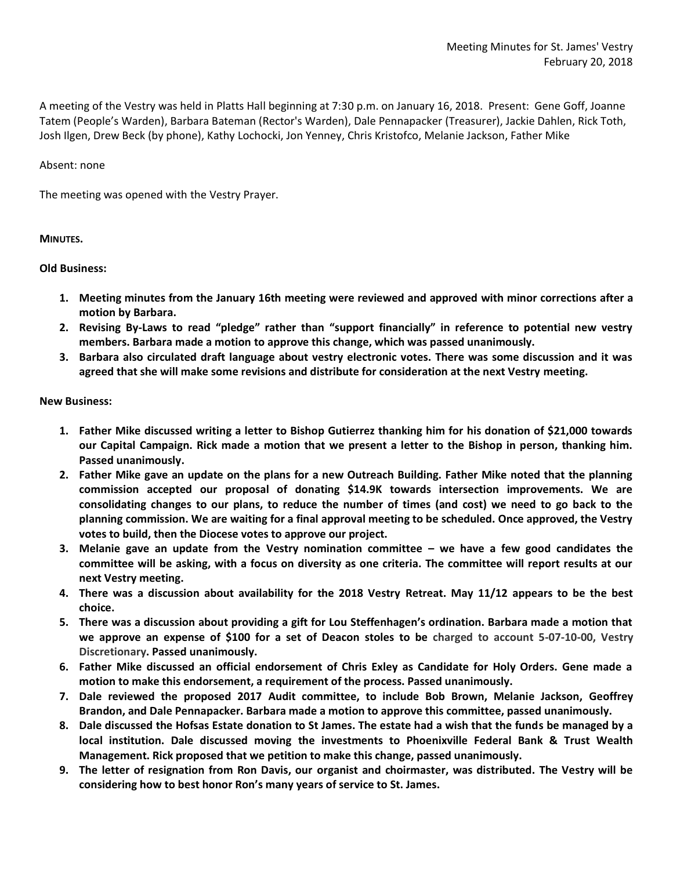A meeting of the Vestry was held in Platts Hall beginning at 7:30 p.m. on January 16, 2018. Present: Gene Goff, Joanne Tatem (People's Warden), Barbara Bateman (Rector's Warden), Dale Pennapacker (Treasurer), Jackie Dahlen, Rick Toth, Josh Ilgen, Drew Beck (by phone), Kathy Lochocki, Jon Yenney, Chris Kristofco, Melanie Jackson, Father Mike

## Absent: none

The meeting was opened with the Vestry Prayer.

## **MINUTES.**

## **Old Business:**

- **1. Meeting minutes from the January 16th meeting were reviewed and approved with minor corrections after a motion by Barbara.**
- **2. Revising By-Laws to read "pledge" rather than "support financially" in reference to potential new vestry members. Barbara made a motion to approve this change, which was passed unanimously.**
- **3. Barbara also circulated draft language about vestry electronic votes. There was some discussion and it was agreed that she will make some revisions and distribute for consideration at the next Vestry meeting.**

## **New Business:**

- **1. Father Mike discussed writing a letter to Bishop Gutierrez thanking him for his donation of \$21,000 towards our Capital Campaign. Rick made a motion that we present a letter to the Bishop in person, thanking him. Passed unanimously.**
- **2. Father Mike gave an update on the plans for a new Outreach Building. Father Mike noted that the planning commission accepted our proposal of donating \$14.9K towards intersection improvements. We are consolidating changes to our plans, to reduce the number of times (and cost) we need to go back to the planning commission. We are waiting for a final approval meeting to be scheduled. Once approved, the Vestry votes to build, then the Diocese votes to approve our project.**
- **3. Melanie gave an update from the Vestry nomination committee – we have a few good candidates the committee will be asking, with a focus on diversity as one criteria. The committee will report results at our next Vestry meeting.**
- **4. There was a discussion about availability for the 2018 Vestry Retreat. May 11/12 appears to be the best choice.**
- **5. There was a discussion about providing a gift for Lou Steffenhagen's ordination. Barbara made a motion that we approve an expense of \$100 for a set of Deacon stoles to be charged to account 5-07-10-00, Vestry Discretionary. Passed unanimously.**
- **6. Father Mike discussed an official endorsement of Chris Exley as Candidate for Holy Orders. Gene made a motion to make this endorsement, a requirement of the process. Passed unanimously.**
- **7. Dale reviewed the proposed 2017 Audit committee, to include Bob Brown, Melanie Jackson, Geoffrey Brandon, and Dale Pennapacker. Barbara made a motion to approve this committee, passed unanimously.**
- **8. Dale discussed the Hofsas Estate donation to St James. The estate had a wish that the funds be managed by a local institution. Dale discussed moving the investments to Phoenixville Federal Bank & Trust Wealth Management. Rick proposed that we petition to make this change, passed unanimously.**
- **9. The letter of resignation from Ron Davis, our organist and choirmaster, was distributed. The Vestry will be considering how to best honor Ron's many years of service to St. James.**